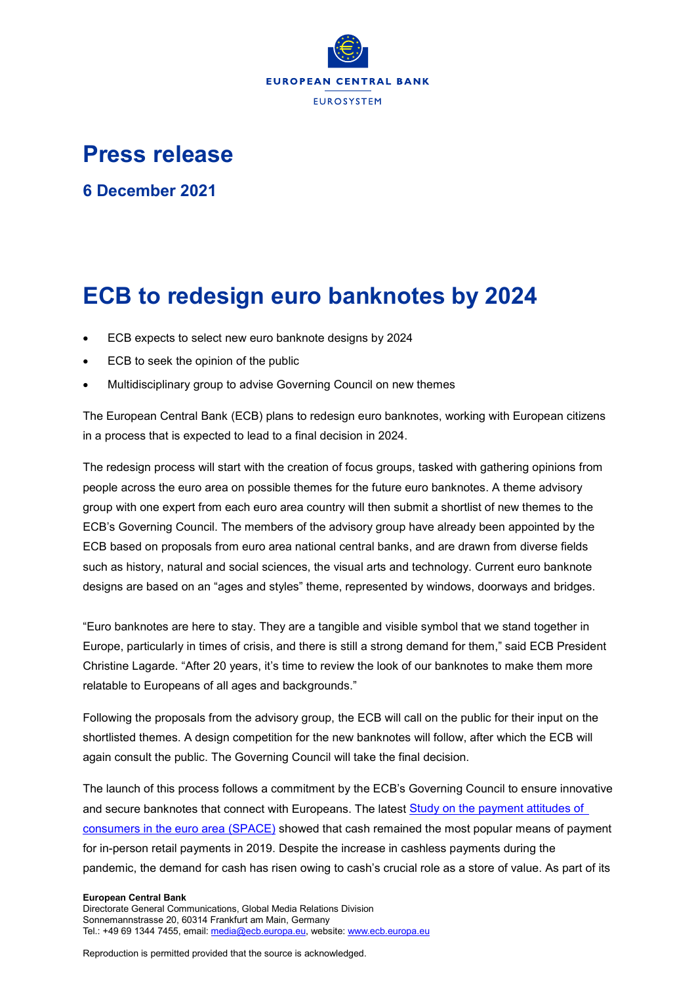

## **Press release**

**6 December 2021**

# **ECB to redesign euro banknotes by 2024**

- ECB expects to select new euro banknote designs by 2024
- ECB to seek the opinion of the public
- Multidisciplinary group to advise Governing Council on new themes

The European Central Bank (ECB) plans to redesign euro banknotes, working with European citizens in a process that is expected to lead to a final decision in 2024.

The redesign process will start with the creation of focus groups, tasked with gathering opinions from people across the euro area on possible themes for the future euro banknotes. A theme advisory group with one expert from each euro area country will then submit a shortlist of new themes to the ECB's Governing Council. The members of the advisory group have already been appointed by the ECB based on proposals from euro area national central banks, and are drawn from diverse fields such as history, natural and social sciences, the visual arts and technology. Current euro banknote designs are based on an "ages and styles" theme, represented by windows, doorways and bridges.

"Euro banknotes are here to stay. They are a tangible and visible symbol that we stand together in Europe, particularly in times of crisis, and there is still a strong demand for them," said ECB President Christine Lagarde. "After 20 years, it's time to review the look of our banknotes to make them more relatable to Europeans of all ages and backgrounds."

Following the proposals from the advisory group, the ECB will call on the public for their input on the shortlisted themes. A design competition for the new banknotes will follow, after which the ECB will again consult the public. The Governing Council will take the final decision.

The launch of this process follows a commitment by the ECB's Governing Council to ensure innovative and secure banknotes that connect with Europeans. The latest **Study on the payment attitudes of** [consumers in the euro area \(SPACE\)](https://www.ecb.europa.eu/pub/pdf/other/ecb.spacereport202012%7Ebb2038bbb6.en.pdf) showed that cash remained the most popular means of payment for in-person retail payments in 2019. Despite the increase in cashless payments during the pandemic, the demand for cash has risen owing to cash's crucial role as a store of value. As part of its

#### **European Central Bank**

Directorate General Communications, Global Media Relations Division Sonnemannstrasse 20, 60314 Frankfurt am Main, Germany Tel.: +49 69 1344 7455, email[: media@ecb.europa.eu,](mailto:media@ecb.europa.eu) website[: www.ecb.europa.eu](http://www.ecb.europa.eu/)

Reproduction is permitted provided that the source is acknowledged.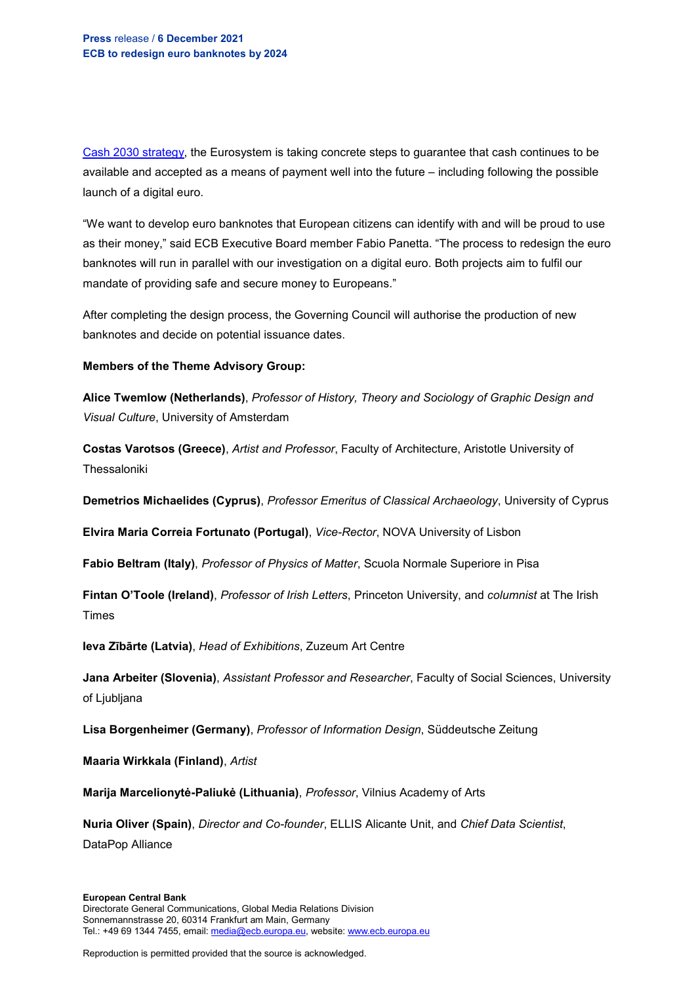[Cash 2030 strategy,](https://www.ecb.europa.eu/euro/cash_strategy/html/index.en.html) the Eurosystem is taking concrete steps to guarantee that cash continues to be available and accepted as a means of payment well into the future – including following the possible launch of a digital euro.

"We want to develop euro banknotes that European citizens can identify with and will be proud to use as their money," said ECB Executive Board member Fabio Panetta. "The process to redesign the euro banknotes will run in parallel with our investigation on a digital euro. Both projects aim to fulfil our mandate of providing safe and secure money to Europeans."

After completing the design process, the Governing Council will authorise the production of new banknotes and decide on potential issuance dates.

### **Members of the Theme Advisory Group:**

**Alice Twemlow (Netherlands)**, *Professor of History, Theory and Sociology of Graphic Design and Visual Culture*, University of Amsterdam

**Costas Varotsos (Greece)**, *Artist and Professor*, Faculty of Architecture, Aristotle University of Thessaloniki

**Demetrios Michaelides (Cyprus)**, *Professor Emeritus of Classical Archaeology*, University of Cyprus

**Elvira Maria Correia Fortunato (Portugal)**, *Vice-Rector*, NOVA University of Lisbon

**Fabio Beltram (Italy)**, *Professor of Physics of Matter*, Scuola Normale Superiore in Pisa

**Fintan O'Toole (Ireland)**, *Professor of Irish Letters*, Princeton University, and *columnist* at The Irish Times

**Ieva Zībārte (Latvia)**, *Head of Exhibitions*, Zuzeum Art Centre

**Jana Arbeiter (Slovenia)**, *Assistant Professor and Researcher*, Faculty of Social Sciences, University of Ljubljana

**Lisa Borgenheimer (Germany)**, *Professor of Information Design*, Süddeutsche Zeitung

**Maaria Wirkkala (Finland)**, *Artist*

**Marija Marcelionytė-Paliukė (Lithuania)**, *Professor*, Vilnius Academy of Arts

**Nuria Oliver (Spain)**, *Director and Co-founder*, ELLIS Alicante Unit, and *Chief Data Scientist*, DataPop Alliance

#### **European Central Bank** Directorate General Communications, Global Media Relations Division Sonnemannstrasse 20, 60314 Frankfurt am Main, Germany Tel.: +49 69 1344 7455, email[: media@ecb.europa.eu,](mailto:media@ecb.europa.eu) website[: www.ecb.europa.eu](http://www.ecb.europa.eu/)

Reproduction is permitted provided that the source is acknowledged.